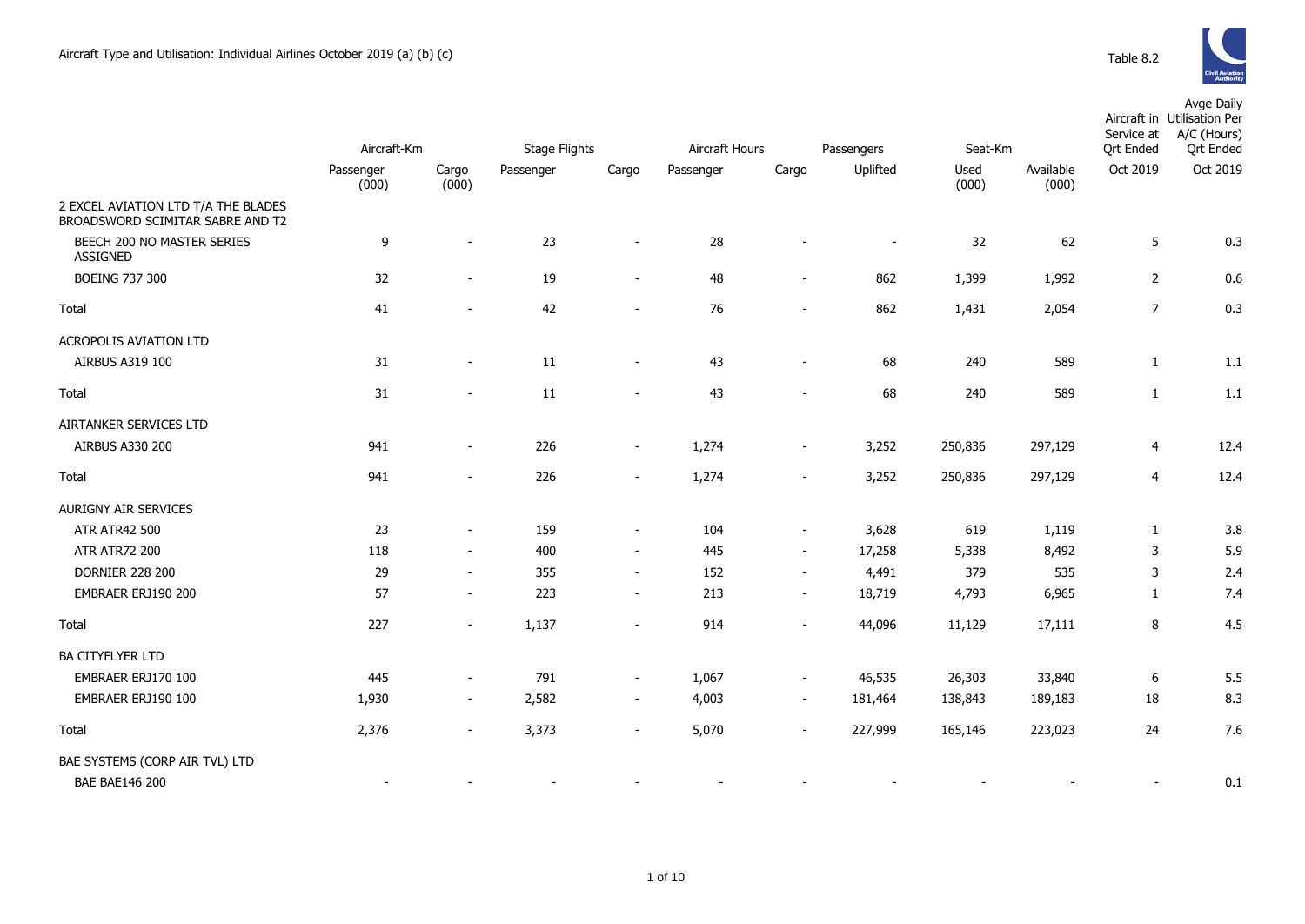|                                                                         |                    |                          |           |                          |           |                          | Passengers |               |                    | Service at       | Avge Daily<br>Aircraft in Utilisation Per<br>A/C (Hours) |  |
|-------------------------------------------------------------------------|--------------------|--------------------------|-----------|--------------------------|-----------|--------------------------|------------|---------------|--------------------|------------------|----------------------------------------------------------|--|
|                                                                         | Aircraft-Km        |                          |           | <b>Stage Flights</b>     |           | Aircraft Hours           |            | Seat-Km       |                    | <b>Qrt Ended</b> | <b>Qrt Ended</b>                                         |  |
|                                                                         | Passenger<br>(000) | Cargo<br>(000)           | Passenger | Cargo                    | Passenger | Cargo                    | Uplifted   | Used<br>(000) | Available<br>(000) | Oct 2019         | Oct 2019                                                 |  |
| 2 EXCEL AVIATION LTD T/A THE BLADES<br>BROADSWORD SCIMITAR SABRE AND T2 |                    |                          |           |                          |           |                          |            |               |                    |                  |                                                          |  |
| BEECH 200 NO MASTER SERIES<br><b>ASSIGNED</b>                           | 9                  | $\sim$                   | 23        | $\blacksquare$           | 28        |                          |            | 32            | 62                 | 5                | 0.3                                                      |  |
| <b>BOEING 737 300</b>                                                   | 32                 | $\overline{\phantom{a}}$ | 19        | $\overline{\phantom{m}}$ | 48        | $\blacksquare$           | 862        | 1,399         | 1,992              | 2                | 0.6                                                      |  |
| Total                                                                   | 41                 |                          | 42        | $\overline{a}$           | 76        | $\sim$                   | 862        | 1,431         | 2,054              | $\overline{7}$   | 0.3                                                      |  |
| <b>ACROPOLIS AVIATION LTD</b>                                           |                    |                          |           |                          |           |                          |            |               |                    |                  |                                                          |  |
| AIRBUS A319 100                                                         | 31                 | $\overline{\phantom{a}}$ | 11        | $\overline{\phantom{a}}$ | 43        | $\overline{\phantom{a}}$ | 68         | 240           | 589                | $\mathbf{1}$     | 1.1                                                      |  |
| Total                                                                   | 31                 |                          | 11        | $\overline{\phantom{a}}$ | 43        |                          | 68         | 240           | 589                | $\mathbf{1}$     | 1.1                                                      |  |
| AIRTANKER SERVICES LTD                                                  |                    |                          |           |                          |           |                          |            |               |                    |                  |                                                          |  |
| AIRBUS A330 200                                                         | 941                | $\overline{\phantom{a}}$ | 226       | $\overline{\phantom{a}}$ | 1,274     | $\overline{\phantom{a}}$ | 3,252      | 250,836       | 297,129            | 4                | 12.4                                                     |  |
| Total                                                                   | 941                | $\blacksquare$           | 226       | $\overline{\phantom{m}}$ | 1,274     | $\blacksquare$           | 3,252      | 250,836       | 297,129            | 4                | 12.4                                                     |  |
| <b>AURIGNY AIR SERVICES</b>                                             |                    |                          |           |                          |           |                          |            |               |                    |                  |                                                          |  |
| <b>ATR ATR42 500</b>                                                    | 23                 | $\sim$                   | 159       | $\overline{\phantom{a}}$ | 104       | $\blacksquare$           | 3,628      | 619           | 1,119              | $\mathbf{1}$     | 3.8                                                      |  |
| <b>ATR ATR72 200</b>                                                    | 118                | $\sim$                   | 400       | $\sim$                   | 445       | $\blacksquare$           | 17,258     | 5,338         | 8,492              | 3                | 5.9                                                      |  |
| <b>DORNIER 228 200</b>                                                  | 29                 | $\overline{\phantom{a}}$ | 355       | $\overline{\phantom{a}}$ | 152       | $\overline{\phantom{a}}$ | 4,491      | 379           | 535                | 3                | 2.4                                                      |  |
| EMBRAER ERJ190 200                                                      | 57                 | $\sim$                   | 223       | $\overline{\phantom{a}}$ | 213       | $\overline{\phantom{a}}$ | 18,719     | 4,793         | 6,965              | $\mathbf{1}$     | 7.4                                                      |  |
| Total                                                                   | 227                | $\sim$                   | 1,137     | $\overline{\phantom{a}}$ | 914       | $\blacksquare$           | 44,096     | 11,129        | 17,111             | 8                | 4.5                                                      |  |
| <b>BA CITYFLYER LTD</b>                                                 |                    |                          |           |                          |           |                          |            |               |                    |                  |                                                          |  |
| EMBRAER ERJ170 100                                                      | 445                | $\overline{a}$           | 791       | $\blacksquare$           | 1,067     | $\blacksquare$           | 46,535     | 26,303        | 33,840             | 6                | 5.5                                                      |  |
| EMBRAER ERJ190 100                                                      | 1,930              | $\overline{\phantom{a}}$ | 2,582     | $\blacksquare$           | 4,003     | $\overline{\phantom{a}}$ | 181,464    | 138,843       | 189,183            | 18               | 8.3                                                      |  |
| Total                                                                   | 2,376              | $\blacksquare$           | 3,373     | $\blacksquare$           | 5,070     |                          | 227,999    | 165,146       | 223,023            | 24               | 7.6                                                      |  |
| BAE SYSTEMS (CORP AIR TVL) LTD                                          |                    |                          |           |                          |           |                          |            |               |                    |                  |                                                          |  |
| <b>BAE BAE146 200</b>                                                   |                    |                          |           |                          |           |                          |            |               |                    |                  | 0.1                                                      |  |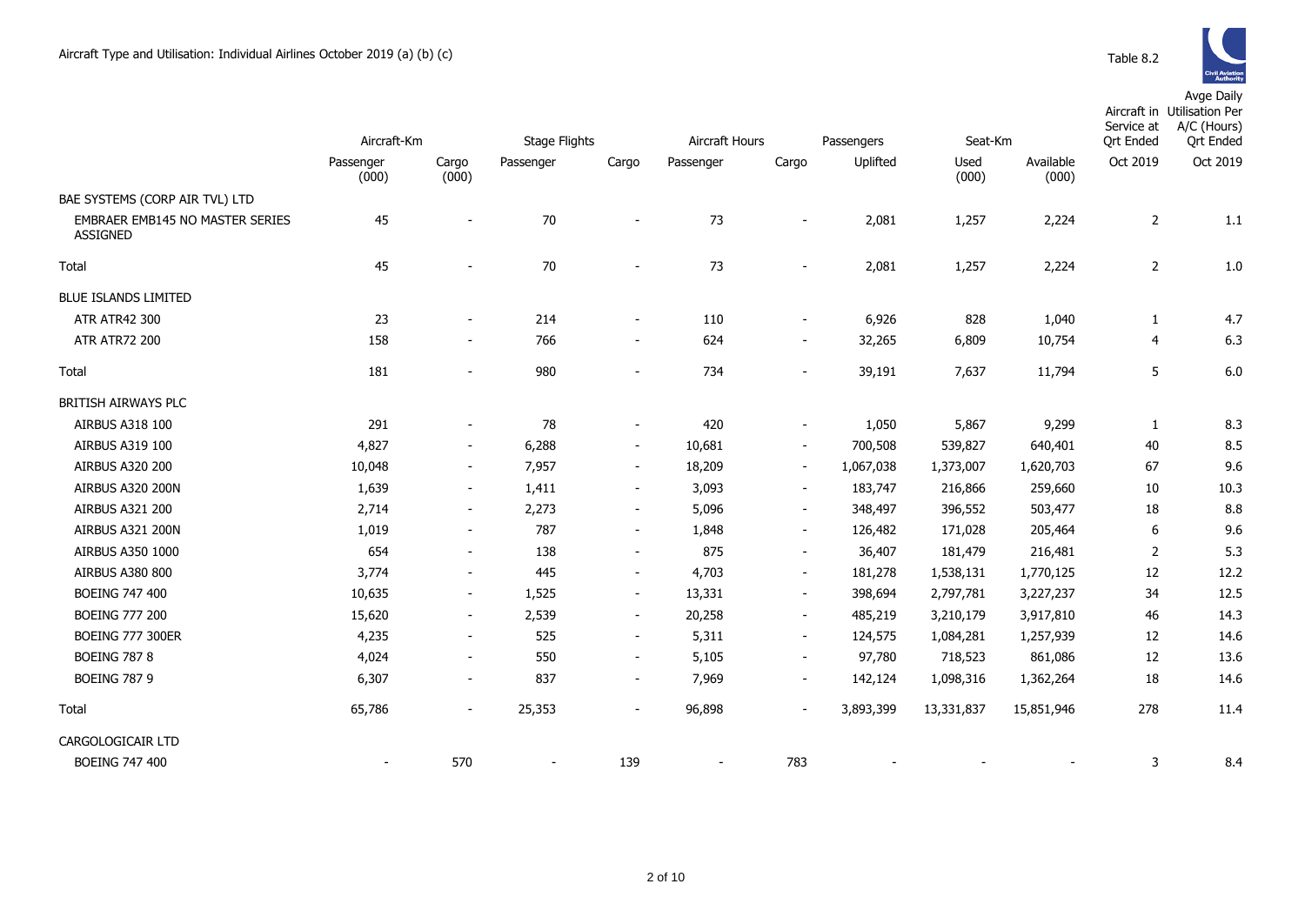|                                                    | Aircraft-Km              |                          | Stage Flights |                          |           | Aircraft Hours<br>Passengers<br>Seat-Km |           |               |                    | Service at<br>Ort Ended | Aircraft in Utilisation Per<br>A/C (Hours)<br><b>Qrt Ended</b> |
|----------------------------------------------------|--------------------------|--------------------------|---------------|--------------------------|-----------|-----------------------------------------|-----------|---------------|--------------------|-------------------------|----------------------------------------------------------------|
|                                                    | Passenger<br>(000)       | Cargo<br>(000)           | Passenger     | Cargo                    | Passenger | Cargo                                   | Uplifted  | Used<br>(000) | Available<br>(000) | Oct 2019                | Oct 2019                                                       |
| BAE SYSTEMS (CORP AIR TVL) LTD                     |                          |                          |               |                          |           |                                         |           |               |                    |                         |                                                                |
| EMBRAER EMB145 NO MASTER SERIES<br><b>ASSIGNED</b> | 45                       | $\overline{\phantom{a}}$ | 70            | $\overline{a}$           | 73        | $\overline{\phantom{a}}$                | 2,081     | 1,257         | 2,224              | $\overline{2}$          | 1.1                                                            |
| Total                                              | 45                       | $\blacksquare$           | 70            | $\blacksquare$           | 73        | $\sim$                                  | 2,081     | 1,257         | 2,224              | $\overline{2}$          | 1.0                                                            |
| <b>BLUE ISLANDS LIMITED</b>                        |                          |                          |               |                          |           |                                         |           |               |                    |                         |                                                                |
| ATR ATR42 300                                      | 23                       | $\blacksquare$           | 214           | $\overline{\phantom{a}}$ | 110       | $\overline{\phantom{a}}$                | 6,926     | 828           | 1,040              | $\mathbf{1}$            | 4.7                                                            |
| <b>ATR ATR72 200</b>                               | 158                      | $\overline{\phantom{a}}$ | 766           | $\overline{\phantom{a}}$ | 624       | $\overline{\phantom{a}}$                | 32,265    | 6,809         | 10,754             | 4                       | 6.3                                                            |
| Total                                              | 181                      | $\overline{\phantom{0}}$ | 980           | $\overline{\phantom{a}}$ | 734       | $\overline{\phantom{0}}$                | 39,191    | 7,637         | 11,794             | 5                       | 6.0                                                            |
| BRITISH AIRWAYS PLC                                |                          |                          |               |                          |           |                                         |           |               |                    |                         |                                                                |
| AIRBUS A318 100                                    | 291                      | $\overline{\phantom{a}}$ | 78            | $\blacksquare$           | 420       | $\overline{\phantom{a}}$                | 1,050     | 5,867         | 9,299              | $\mathbf{1}$            | 8.3                                                            |
| AIRBUS A319 100                                    | 4,827                    | $\overline{\phantom{a}}$ | 6,288         | $\blacksquare$           | 10,681    | $\blacksquare$                          | 700,508   | 539,827       | 640,401            | 40                      | 8.5                                                            |
| <b>AIRBUS A320 200</b>                             | 10,048                   | $\overline{\phantom{a}}$ | 7,957         | $\blacksquare$           | 18,209    | $\sim$                                  | 1,067,038 | 1,373,007     | 1,620,703          | 67                      | 9.6                                                            |
| <b>AIRBUS A320 200N</b>                            | 1,639                    | $\blacksquare$           | 1,411         | $\sim$                   | 3,093     | $\sim$                                  | 183,747   | 216,866       | 259,660            | 10                      | 10.3                                                           |
| AIRBUS A321 200                                    | 2,714                    | $\overline{\phantom{a}}$ | 2,273         | $\overline{\phantom{a}}$ | 5,096     | $\overline{\phantom{a}}$                | 348,497   | 396,552       | 503,477            | 18                      | 8.8                                                            |
| AIRBUS A321 200N                                   | 1,019                    | $\blacksquare$           | 787           | $\sim$                   | 1,848     | $\sim$                                  | 126,482   | 171,028       | 205,464            | 6                       | 9.6                                                            |
| AIRBUS A350 1000                                   | 654                      | $\blacksquare$           | 138           | $\blacksquare$           | 875       | $\overline{\phantom{a}}$                | 36,407    | 181,479       | 216,481            | 2                       | 5.3                                                            |
| <b>AIRBUS A380 800</b>                             | 3,774                    | $\overline{\phantom{a}}$ | 445           | $\overline{\phantom{a}}$ | 4,703     | $\sim$                                  | 181,278   | 1,538,131     | 1,770,125          | 12                      | 12.2                                                           |
| <b>BOEING 747 400</b>                              | 10,635                   | $\overline{\phantom{a}}$ | 1,525         | $\blacksquare$           | 13,331    | $\sim$                                  | 398,694   | 2,797,781     | 3,227,237          | 34                      | 12.5                                                           |
| <b>BOEING 777 200</b>                              | 15,620                   | $\blacksquare$           | 2,539         | $\overline{\phantom{a}}$ | 20,258    | $\blacksquare$                          | 485,219   | 3,210,179     | 3,917,810          | 46                      | 14.3                                                           |
| <b>BOEING 777 300ER</b>                            | 4,235                    | $\overline{\phantom{a}}$ | 525           | $\blacksquare$           | 5,311     | $\sim$                                  | 124,575   | 1,084,281     | 1,257,939          | 12                      | 14.6                                                           |
| <b>BOEING 787 8</b>                                | 4,024                    | $\overline{\phantom{a}}$ | 550           | $\overline{\phantom{a}}$ | 5,105     | $\overline{\phantom{a}}$                | 97,780    | 718,523       | 861,086            | 12                      | 13.6                                                           |
| <b>BOEING 787 9</b>                                | 6,307                    | $\overline{\phantom{a}}$ | 837           | $\sim$                   | 7,969     | $\overline{\phantom{a}}$                | 142,124   | 1,098,316     | 1,362,264          | 18                      | 14.6                                                           |
| Total                                              | 65,786                   | $\overline{\phantom{a}}$ | 25,353        | $\overline{\phantom{a}}$ | 96,898    | $\blacksquare$                          | 3,893,399 | 13,331,837    | 15,851,946         | 278                     | 11.4                                                           |
| CARGOLOGICAIR LTD                                  |                          |                          |               |                          |           |                                         |           |               |                    |                         |                                                                |
| <b>BOEING 747 400</b>                              | $\overline{\phantom{a}}$ | 570                      |               | 139                      |           | 783                                     |           |               |                    | 3                       | 8.4                                                            |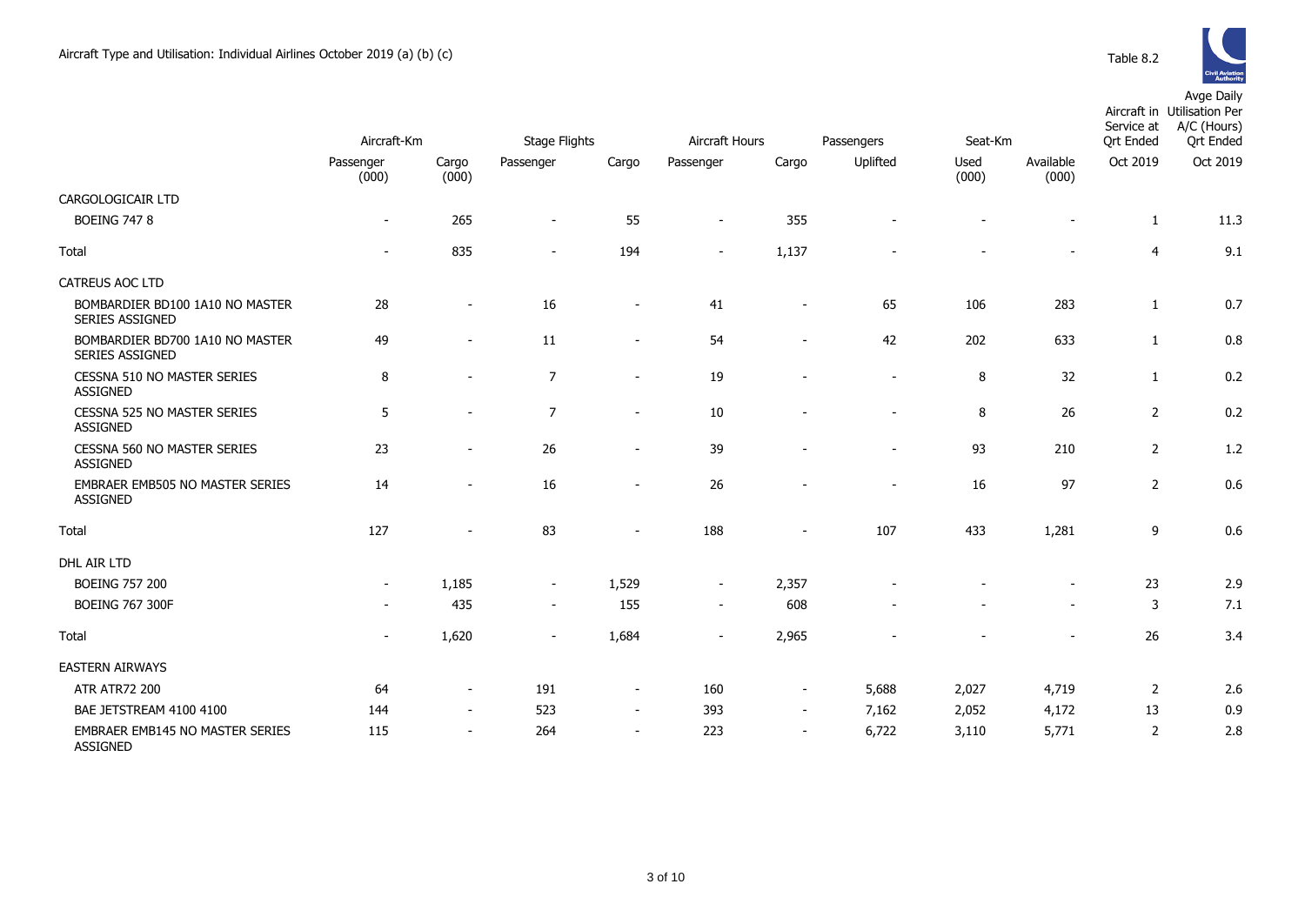

|                                                           | Aircraft-Km |                          | <b>Stage Flights</b> |                          | Aircraft Hours           |                          |                          | Seat-Km<br>Passengers |                          |                              | Aircraft in Utilisation Per<br>A/C (Hours)<br>Service at<br><b>Qrt Ended</b> |
|-----------------------------------------------------------|-------------|--------------------------|----------------------|--------------------------|--------------------------|--------------------------|--------------------------|-----------------------|--------------------------|------------------------------|------------------------------------------------------------------------------|
|                                                           | Passenger   | Cargo                    | Passenger            | Cargo                    | Passenger                | Cargo                    | Uplifted                 | Used<br>(000)         | Available                | <b>Qrt Ended</b><br>Oct 2019 | Oct 2019                                                                     |
| CARGOLOGICAIR LTD                                         | (000)       | (000)                    |                      |                          |                          |                          |                          |                       | (000)                    |                              |                                                                              |
| <b>BOEING 747 8</b>                                       |             | 265                      |                      |                          | $\sim$                   | 355                      |                          |                       |                          |                              |                                                                              |
|                                                           | $\sim$      |                          | $\sim$               | 55                       |                          |                          |                          |                       |                          | $\mathbf{1}$                 | 11.3                                                                         |
| Total                                                     | $\sim$      | 835                      | $\sim$               | 194                      | $\sim$                   | 1,137                    |                          |                       | $\blacksquare$           | $\overline{4}$               | 9.1                                                                          |
| <b>CATREUS AOC LTD</b>                                    |             |                          |                      |                          |                          |                          |                          |                       |                          |                              |                                                                              |
| BOMBARDIER BD100 1A10 NO MASTER<br><b>SERIES ASSIGNED</b> | 28          |                          | 16                   | $\overline{\phantom{a}}$ | 41                       | $\overline{\phantom{a}}$ | 65                       | 106                   | 283                      | $\mathbf{1}$                 | 0.7                                                                          |
| BOMBARDIER BD700 1A10 NO MASTER<br>SERIES ASSIGNED        | 49          |                          | 11                   | $\overline{\phantom{a}}$ | 54                       |                          | 42                       | 202                   | 633                      | $\mathbf{1}$                 | 0.8                                                                          |
| <b>CESSNA 510 NO MASTER SERIES</b><br><b>ASSIGNED</b>     | 8           |                          | $\overline{7}$       | $\overline{\phantom{a}}$ | 19                       |                          | $\overline{\phantom{a}}$ | 8                     | 32                       | $\mathbf{1}$                 | 0.2                                                                          |
| CESSNA 525 NO MASTER SERIES<br><b>ASSIGNED</b>            | 5           | $\overline{\phantom{a}}$ | $\overline{7}$       | $\sim$                   | 10                       |                          | $\overline{\phantom{a}}$ | 8                     | 26                       | $\overline{2}$               | 0.2                                                                          |
| CESSNA 560 NO MASTER SERIES<br><b>ASSIGNED</b>            | 23          | $\overline{\phantom{a}}$ | 26                   | $\overline{\phantom{a}}$ | 39                       |                          | $\blacksquare$           | 93                    | 210                      | $\overline{2}$               | 1.2                                                                          |
| <b>EMBRAER EMB505 NO MASTER SERIES</b><br><b>ASSIGNED</b> | 14          |                          | 16                   | $\overline{\phantom{a}}$ | 26                       |                          | ۰                        | 16                    | 97                       | $\overline{2}$               | 0.6                                                                          |
| <b>Total</b>                                              | 127         |                          | 83                   |                          | 188                      |                          | 107                      | 433                   | 1,281                    | 9                            | 0.6                                                                          |
| DHL AIR LTD                                               |             |                          |                      |                          |                          |                          |                          |                       |                          |                              |                                                                              |
| <b>BOEING 757 200</b>                                     |             | 1,185                    | $\sim$               | 1,529                    | $\overline{\phantom{a}}$ | 2,357                    |                          |                       |                          | 23                           | 2.9                                                                          |
| <b>BOEING 767 300F</b>                                    |             | 435                      | $\sim$               | 155                      | $\sim$                   | 608                      |                          |                       | $\overline{\phantom{a}}$ | 3                            | 7.1                                                                          |
| Total                                                     |             | 1,620                    |                      | 1,684                    |                          | 2,965                    |                          |                       |                          | 26                           | 3.4                                                                          |
| <b>EASTERN AIRWAYS</b>                                    |             |                          |                      |                          |                          |                          |                          |                       |                          |                              |                                                                              |
| <b>ATR ATR72 200</b>                                      | 64          | $\overline{\phantom{a}}$ | 191                  | $\overline{\phantom{a}}$ | 160                      | $\overline{\phantom{a}}$ | 5,688                    | 2,027                 | 4,719                    | 2                            | 2.6                                                                          |
| BAE JETSTREAM 4100 4100                                   | 144         | $\sim$                   | 523                  | $\sim$                   | 393                      | $\sim$                   | 7,162                    | 2,052                 | 4,172                    | 13                           | 0.9                                                                          |
| EMBRAER EMB145 NO MASTER SERIES<br><b>ASSIGNED</b>        | 115         |                          | 264                  | $\overline{\phantom{a}}$ | 223                      | $\sim$                   | 6,722                    | 3,110                 | 5,771                    | 2                            | 2.8                                                                          |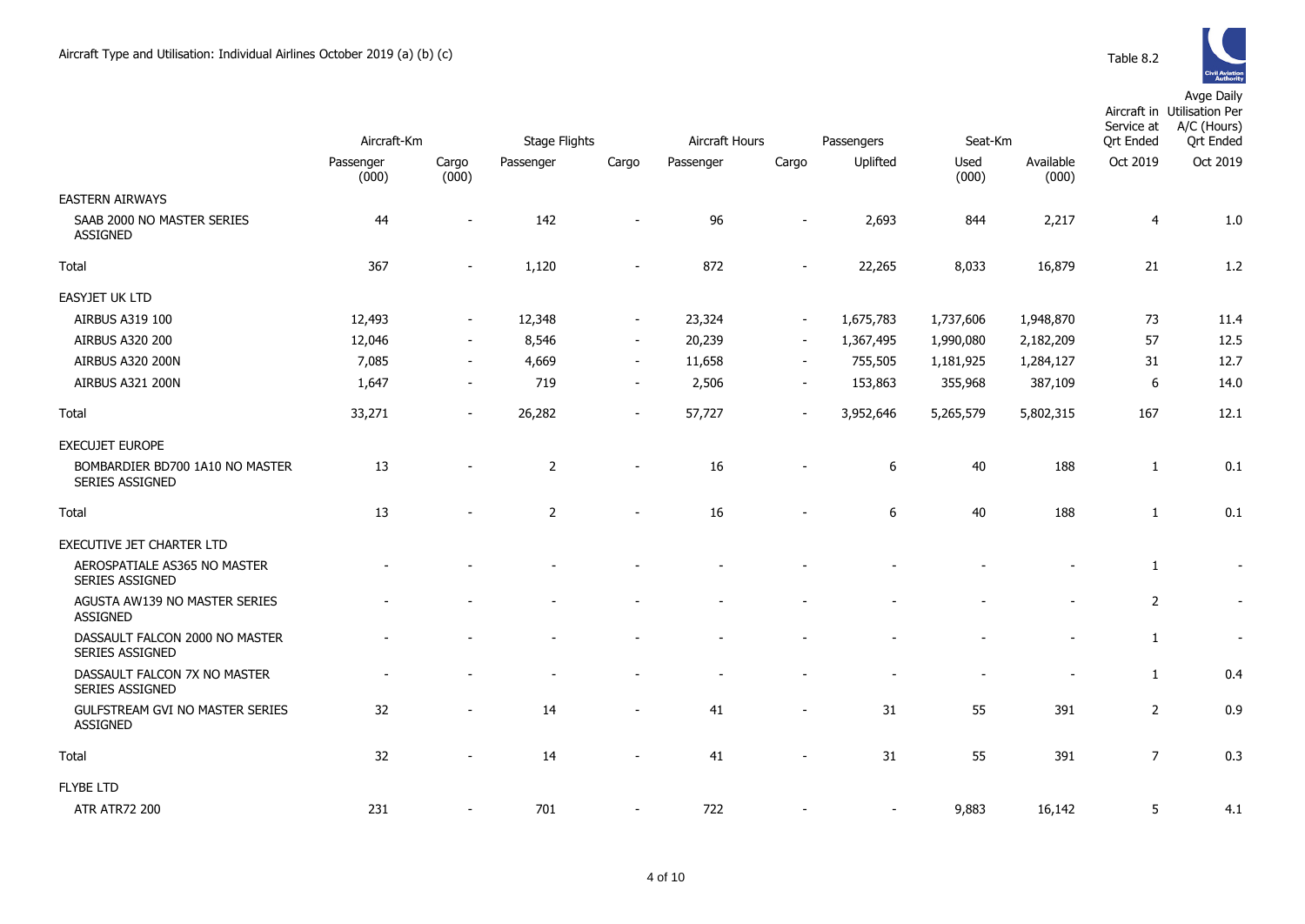

|                                                    | Aircraft-Km        |                          |                | <b>Stage Flights</b><br>Aircraft Hours |           |                          | Passengers | Seat-Km       |                    | Service at<br><b>Qrt Ended</b> | Aircraft in Utilisation Per<br>A/C (Hours)<br><b>Qrt Ended</b> |
|----------------------------------------------------|--------------------|--------------------------|----------------|----------------------------------------|-----------|--------------------------|------------|---------------|--------------------|--------------------------------|----------------------------------------------------------------|
|                                                    | Passenger<br>(000) | Cargo<br>(000)           | Passenger      | Cargo                                  | Passenger | Cargo                    | Uplifted   | Used<br>(000) | Available<br>(000) | Oct 2019                       | Oct 2019                                                       |
| <b>EASTERN AIRWAYS</b>                             |                    |                          |                |                                        |           |                          |            |               |                    |                                |                                                                |
| SAAB 2000 NO MASTER SERIES<br>ASSIGNED             | 44                 |                          | 142            |                                        | 96        |                          | 2,693      | 844           | 2,217              | $\overline{4}$                 | 1.0                                                            |
| Total                                              | 367                | $\overline{\phantom{a}}$ | 1,120          |                                        | 872       | $\overline{\phantom{a}}$ | 22,265     | 8,033         | 16,879             | 21                             | 1.2                                                            |
| <b>EASYJET UK LTD</b>                              |                    |                          |                |                                        |           |                          |            |               |                    |                                |                                                                |
| AIRBUS A319 100                                    | 12,493             | $\sim$                   | 12,348         | $\sim$                                 | 23,324    | $\sim$                   | 1,675,783  | 1,737,606     | 1,948,870          | 73                             | 11.4                                                           |
| <b>AIRBUS A320 200</b>                             | 12,046             | $\sim$                   | 8,546          | $\sim$                                 | 20,239    | $\sim$                   | 1,367,495  | 1,990,080     | 2,182,209          | 57                             | 12.5                                                           |
| AIRBUS A320 200N                                   | 7,085              |                          | 4,669          | $\sim$                                 | 11,658    | $\sim$                   | 755,505    | 1,181,925     | 1,284,127          | 31                             | 12.7                                                           |
| AIRBUS A321 200N                                   | 1,647              | $\sim$                   | 719            | $\sim$                                 | 2,506     | $\sim$                   | 153,863    | 355,968       | 387,109            | 6                              | 14.0                                                           |
| Total                                              | 33,271             | $\sim$                   | 26,282         | $\blacksquare$                         | 57,727    | $\blacksquare$           | 3,952,646  | 5,265,579     | 5,802,315          | 167                            | 12.1                                                           |
| <b>EXECUJET EUROPE</b>                             |                    |                          |                |                                        |           |                          |            |               |                    |                                |                                                                |
| BOMBARDIER BD700 1A10 NO MASTER<br>SERIES ASSIGNED | 13                 |                          | $\overline{2}$ |                                        | 16        |                          | 6          | 40            | 188                | 1                              | 0.1                                                            |
| Total                                              | 13                 |                          | $\overline{2}$ | $\overline{\phantom{a}}$               | 16        |                          | 6          | 40            | 188                | $\mathbf{1}$                   | 0.1                                                            |
| EXECUTIVE JET CHARTER LTD                          |                    |                          |                |                                        |           |                          |            |               |                    |                                |                                                                |
| AEROSPATIALE AS365 NO MASTER<br>SERIES ASSIGNED    |                    |                          |                |                                        |           |                          |            |               |                    | $\mathbf{1}$                   | $\overline{\phantom{a}}$                                       |
| AGUSTA AW139 NO MASTER SERIES<br>ASSIGNED          |                    |                          |                |                                        |           |                          |            |               |                    | $\overline{2}$                 |                                                                |
| DASSAULT FALCON 2000 NO MASTER<br>SERIES ASSIGNED  |                    |                          |                |                                        |           |                          |            |               |                    | $\mathbf{1}$                   | $\overline{\phantom{a}}$                                       |
| DASSAULT FALCON 7X NO MASTER<br>SERIES ASSIGNED    |                    |                          |                |                                        |           |                          |            | $\sim$        |                    | $\mathbf{1}$                   | 0.4                                                            |
| GULFSTREAM GVI NO MASTER SERIES<br><b>ASSIGNED</b> | 32                 |                          | 14             | $\overline{\phantom{a}}$               | 41        | $\blacksquare$           | 31         | 55            | 391                | $\overline{2}$                 | 0.9                                                            |
| Total                                              | 32                 | $\overline{\phantom{a}}$ | 14             | $\blacksquare$                         | 41        | $\overline{\phantom{a}}$ | 31         | 55            | 391                | $\overline{7}$                 | 0.3                                                            |
| <b>FLYBE LTD</b>                                   |                    |                          |                |                                        |           |                          |            |               |                    |                                |                                                                |
| <b>ATR ATR72 200</b>                               | 231                |                          | 701            | $\overline{\phantom{a}}$               | 722       |                          |            | 9,883         | 16,142             | 5                              | 4.1                                                            |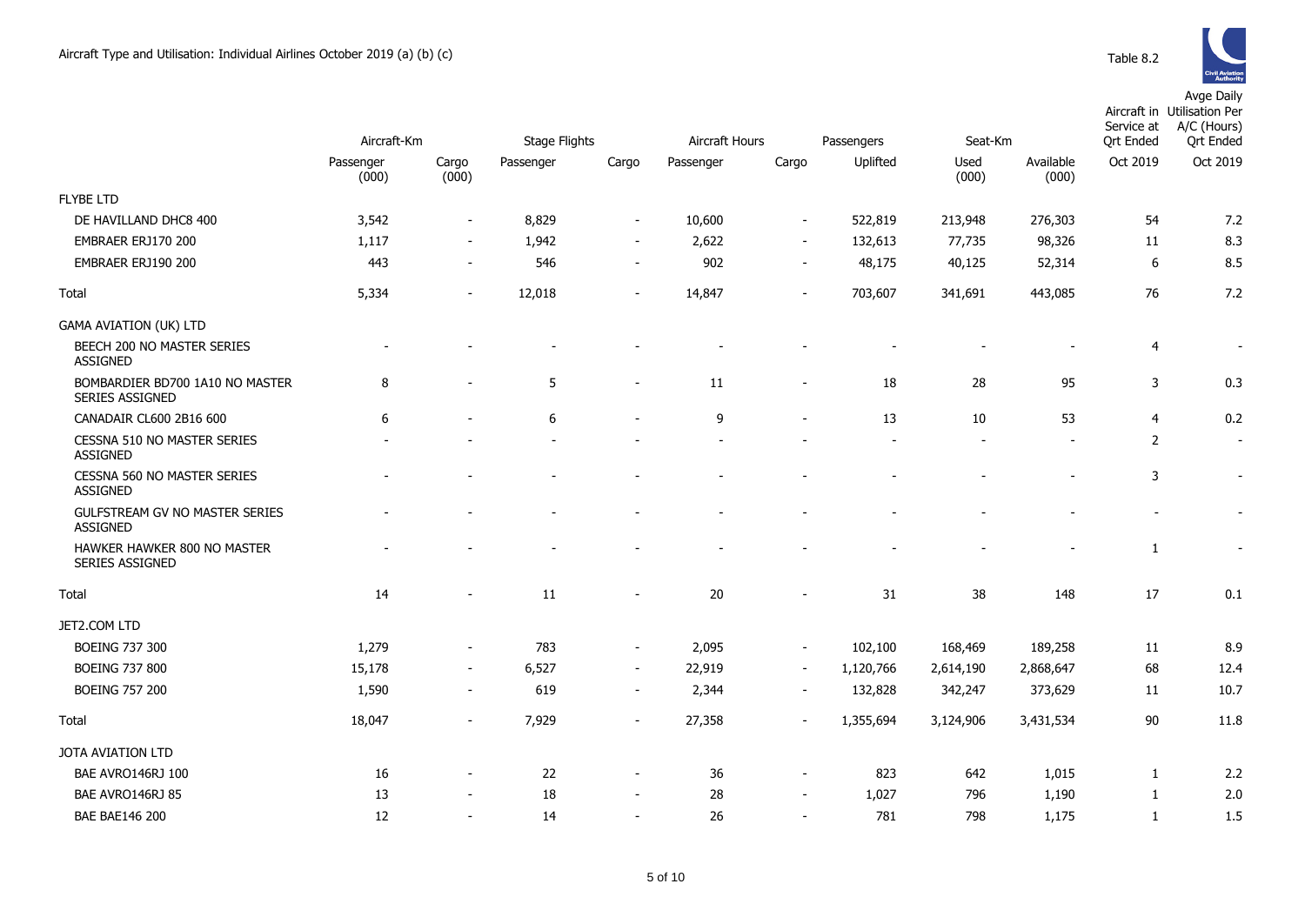|                                                           | Aircraft-Km        |                          | <b>Stage Flights</b> |                          | Aircraft Hours |                          | Passengers<br>Seat-Km |               |                    | Aircraft in Utilisation Per<br>Service at<br><b>Qrt Ended</b> | A/C (Hours)<br><b>Qrt Ended</b> |
|-----------------------------------------------------------|--------------------|--------------------------|----------------------|--------------------------|----------------|--------------------------|-----------------------|---------------|--------------------|---------------------------------------------------------------|---------------------------------|
|                                                           | Passenger<br>(000) | Cargo<br>(000)           | Passenger            | Cargo                    | Passenger      | Cargo                    | Uplifted              | Used<br>(000) | Available<br>(000) | Oct 2019                                                      | Oct 2019                        |
| <b>FLYBE LTD</b>                                          |                    |                          |                      |                          |                |                          |                       |               |                    |                                                               |                                 |
| DE HAVILLAND DHC8 400                                     | 3,542              | $\sim$                   | 8,829                | $\blacksquare$           | 10,600         | $\overline{\phantom{a}}$ | 522,819               | 213,948       | 276,303            | 54                                                            | 7.2                             |
| EMBRAER ERJ170 200                                        | 1,117              | $\sim$                   | 1,942                | $\overline{\phantom{a}}$ | 2,622          | $\overline{\phantom{a}}$ | 132,613               | 77,735        | 98,326             | 11                                                            | 8.3                             |
| EMBRAER ERJ190 200                                        | 443                |                          | 546                  | $\overline{\phantom{a}}$ | 902            | $\overline{\phantom{a}}$ | 48,175                | 40,125        | 52,314             | 6                                                             | 8.5                             |
| <b>Total</b>                                              | 5,334              | $\overline{\phantom{a}}$ | 12,018               | $\overline{\phantom{a}}$ | 14,847         | $\overline{\phantom{0}}$ | 703,607               | 341,691       | 443,085            | 76                                                            | 7.2                             |
| <b>GAMA AVIATION (UK) LTD</b>                             |                    |                          |                      |                          |                |                          |                       |               |                    |                                                               |                                 |
| BEECH 200 NO MASTER SERIES<br><b>ASSIGNED</b>             |                    |                          |                      |                          |                |                          |                       |               |                    | 4                                                             | $\overline{\phantom{a}}$        |
| BOMBARDIER BD700 1A10 NO MASTER<br><b>SERIES ASSIGNED</b> | 8                  |                          | 5                    | $\blacksquare$           | 11             | $\overline{\phantom{a}}$ | 18                    | 28            | 95                 | 3                                                             | 0.3                             |
| CANADAIR CL600 2B16 600                                   | 6                  |                          | 6                    | $\blacksquare$           | 9              | $\sim$                   | 13                    | 10            | 53                 | $\overline{4}$                                                | 0.2                             |
| CESSNA 510 NO MASTER SERIES<br><b>ASSIGNED</b>            |                    |                          |                      |                          |                |                          |                       |               |                    | 2                                                             | $\overline{\phantom{a}}$        |
| CESSNA 560 NO MASTER SERIES<br><b>ASSIGNED</b>            |                    |                          |                      |                          |                |                          |                       |               |                    | 3                                                             | $\overline{\phantom{a}}$        |
| GULFSTREAM GV NO MASTER SERIES<br><b>ASSIGNED</b>         |                    |                          |                      |                          |                |                          |                       |               |                    |                                                               |                                 |
| HAWKER HAWKER 800 NO MASTER<br>SERIES ASSIGNED            |                    |                          |                      |                          |                |                          |                       |               |                    | $\mathbf{1}$                                                  |                                 |
| <b>Total</b>                                              | 14                 |                          | 11                   | $\overline{\phantom{a}}$ | 20             | ٠                        | 31                    | 38            | 148                | 17                                                            | 0.1                             |
| JET2.COM LTD                                              |                    |                          |                      |                          |                |                          |                       |               |                    |                                                               |                                 |
| <b>BOEING 737 300</b>                                     | 1,279              |                          | 783                  | $\overline{\phantom{a}}$ | 2,095          | $\blacksquare$           | 102,100               | 168,469       | 189,258            | 11                                                            | 8.9                             |
| <b>BOEING 737 800</b>                                     | 15,178             | $\sim$                   | 6,527                | $\sim$                   | 22,919         | $\blacksquare$           | 1,120,766             | 2,614,190     | 2,868,647          | 68                                                            | 12.4                            |
| <b>BOEING 757 200</b>                                     | 1,590              | $\sim$                   | 619                  | $\overline{\phantom{a}}$ | 2,344          | $\blacksquare$           | 132,828               | 342,247       | 373,629            | 11                                                            | 10.7                            |
| Total                                                     | 18,047             |                          | 7,929                | $\overline{\phantom{m}}$ | 27,358         |                          | 1,355,694             | 3,124,906     | 3,431,534          | 90                                                            | 11.8                            |
| JOTA AVIATION LTD                                         |                    |                          |                      |                          |                |                          |                       |               |                    |                                                               |                                 |
| BAE AVRO146RJ 100                                         | 16                 |                          | 22                   | $\overline{\phantom{a}}$ | 36             | $\overline{a}$           | 823                   | 642           | 1,015              | $\mathbf{1}$                                                  | 2.2                             |
| BAE AVRO146RJ 85                                          | 13                 |                          | 18                   | $\overline{\phantom{a}}$ | 28             | $\blacksquare$           | 1,027                 | 796           | 1,190              | 1                                                             | 2.0                             |
| <b>BAE BAE146 200</b>                                     | 12                 | $\sim$                   | 14                   | $\overline{\phantom{a}}$ | 26             | $\overline{\phantom{0}}$ | 781                   | 798           | 1,175              | $\mathbf{1}$                                                  | 1.5                             |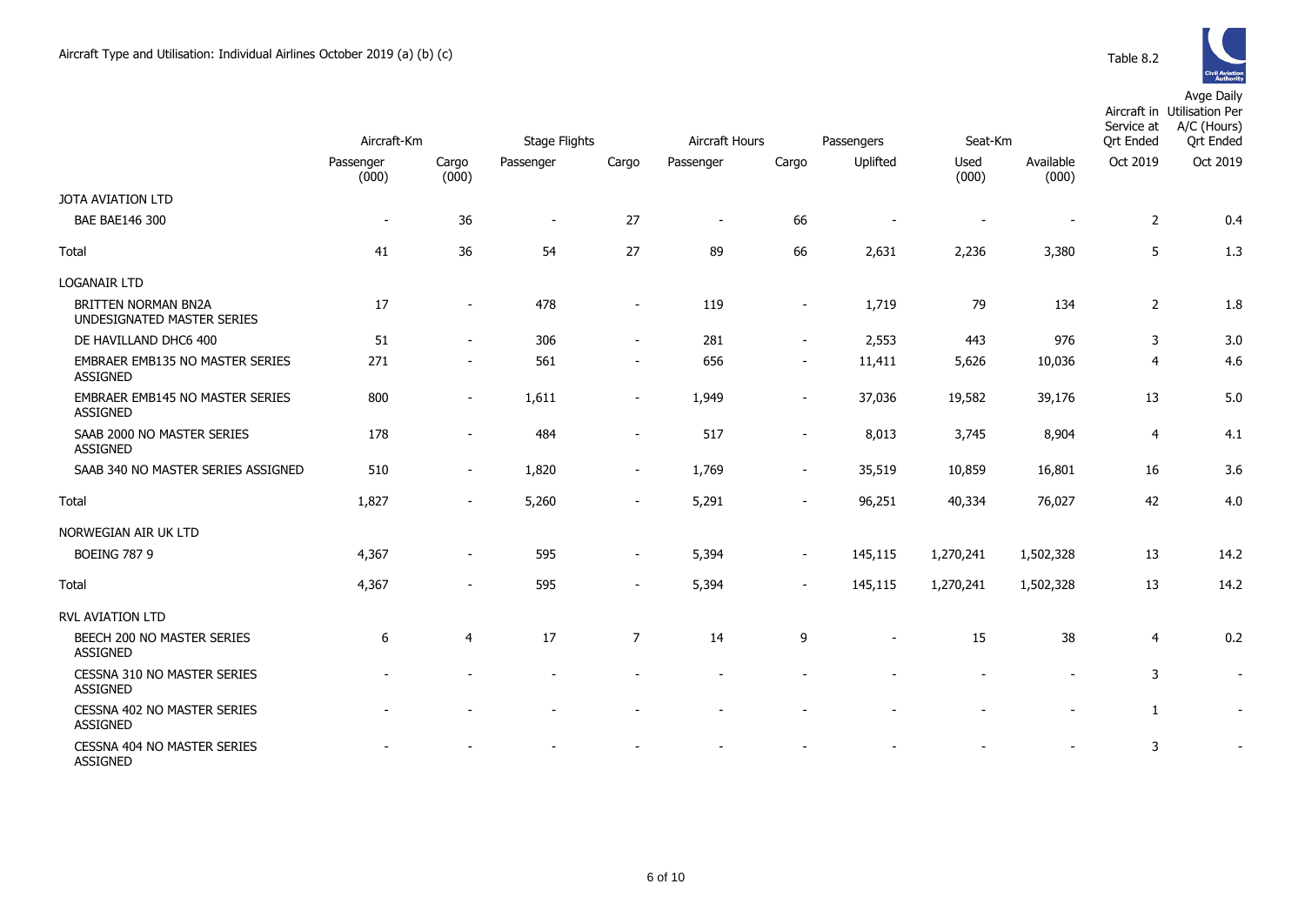|                                                           | Aircraft-Km        |                | <b>Stage Flights</b><br>Aircraft Hours |                          |                          |                          | Passengers | Seat-Km       | Service at<br><b>Qrt Ended</b> | Aircraft in Utilisation Per<br>A/C (Hours)<br><b>Qrt Ended</b> |          |
|-----------------------------------------------------------|--------------------|----------------|----------------------------------------|--------------------------|--------------------------|--------------------------|------------|---------------|--------------------------------|----------------------------------------------------------------|----------|
|                                                           | Passenger<br>(000) | Cargo<br>(000) | Passenger                              | Cargo                    | Passenger                | Cargo                    | Uplifted   | Used<br>(000) | Available<br>(000)             | Oct 2019                                                       | Oct 2019 |
| JOTA AVIATION LTD                                         |                    |                |                                        |                          |                          |                          |            |               |                                |                                                                |          |
| <b>BAE BAE146 300</b>                                     | $\blacksquare$     | 36             | $\overline{\phantom{a}}$               | 27                       | $\overline{\phantom{a}}$ | 66                       |            |               |                                | $\overline{2}$                                                 | 0.4      |
| <b>Total</b>                                              | 41                 | 36             | 54                                     | 27                       | 89                       | 66                       | 2,631      | 2,236         | 3,380                          | 5                                                              | 1.3      |
| LOGANAIR LTD                                              |                    |                |                                        |                          |                          |                          |            |               |                                |                                                                |          |
| BRITTEN NORMAN BN2A<br>UNDESIGNATED MASTER SERIES         | 17                 |                | 478                                    |                          | 119                      |                          | 1,719      | 79            | 134                            | $\overline{2}$                                                 | 1.8      |
| DE HAVILLAND DHC6 400                                     | 51                 |                | 306                                    | $\overline{\phantom{a}}$ | 281                      | $\blacksquare$           | 2,553      | 443           | 976                            | 3                                                              | 3.0      |
| EMBRAER EMB135 NO MASTER SERIES<br><b>ASSIGNED</b>        | 271                |                | 561                                    | $\overline{\phantom{a}}$ | 656                      | $\overline{\phantom{a}}$ | 11,411     | 5,626         | 10,036                         | 4                                                              | 4.6      |
| <b>EMBRAER EMB145 NO MASTER SERIES</b><br><b>ASSIGNED</b> | 800                |                | 1,611                                  | $\overline{\phantom{a}}$ | 1,949                    | $\overline{\phantom{a}}$ | 37,036     | 19,582        | 39,176                         | 13                                                             | 5.0      |
| SAAB 2000 NO MASTER SERIES<br><b>ASSIGNED</b>             | 178                |                | 484                                    | $\overline{\phantom{a}}$ | 517                      | $\overline{\phantom{a}}$ | 8,013      | 3,745         | 8,904                          | 4                                                              | 4.1      |
| SAAB 340 NO MASTER SERIES ASSIGNED                        | 510                |                | 1,820                                  | $\blacksquare$           | 1,769                    | $\overline{\phantom{a}}$ | 35,519     | 10,859        | 16,801                         | 16                                                             | 3.6      |
| Total                                                     | 1,827              | $\sim$         | 5,260                                  | $\overline{\phantom{a}}$ | 5,291                    | $\overline{\phantom{a}}$ | 96,251     | 40,334        | 76,027                         | 42                                                             | 4.0      |
| NORWEGIAN AIR UK LTD                                      |                    |                |                                        |                          |                          |                          |            |               |                                |                                                                |          |
| <b>BOEING 787 9</b>                                       | 4,367              |                | 595                                    | $\overline{\phantom{a}}$ | 5,394                    | $\overline{\phantom{a}}$ | 145,115    | 1,270,241     | 1,502,328                      | 13                                                             | 14.2     |
| Total                                                     | 4,367              |                | 595                                    | $\overline{\phantom{a}}$ | 5,394                    |                          | 145,115    | 1,270,241     | 1,502,328                      | 13                                                             | 14.2     |
| <b>RVL AVIATION LTD</b>                                   |                    |                |                                        |                          |                          |                          |            |               |                                |                                                                |          |
| BEECH 200 NO MASTER SERIES<br><b>ASSIGNED</b>             | 6                  | 4              | 17                                     | $\overline{7}$           | 14                       | 9                        |            | 15            | 38                             | 4                                                              | 0.2      |
| CESSNA 310 NO MASTER SERIES<br><b>ASSIGNED</b>            |                    |                |                                        |                          |                          |                          |            |               |                                | 3                                                              |          |
| <b>CESSNA 402 NO MASTER SERIES</b><br><b>ASSIGNED</b>     |                    |                |                                        |                          |                          |                          |            |               |                                | 1                                                              |          |
| <b>CESSNA 404 NO MASTER SERIES</b><br><b>ASSIGNED</b>     |                    |                |                                        |                          |                          |                          |            |               |                                | 3                                                              |          |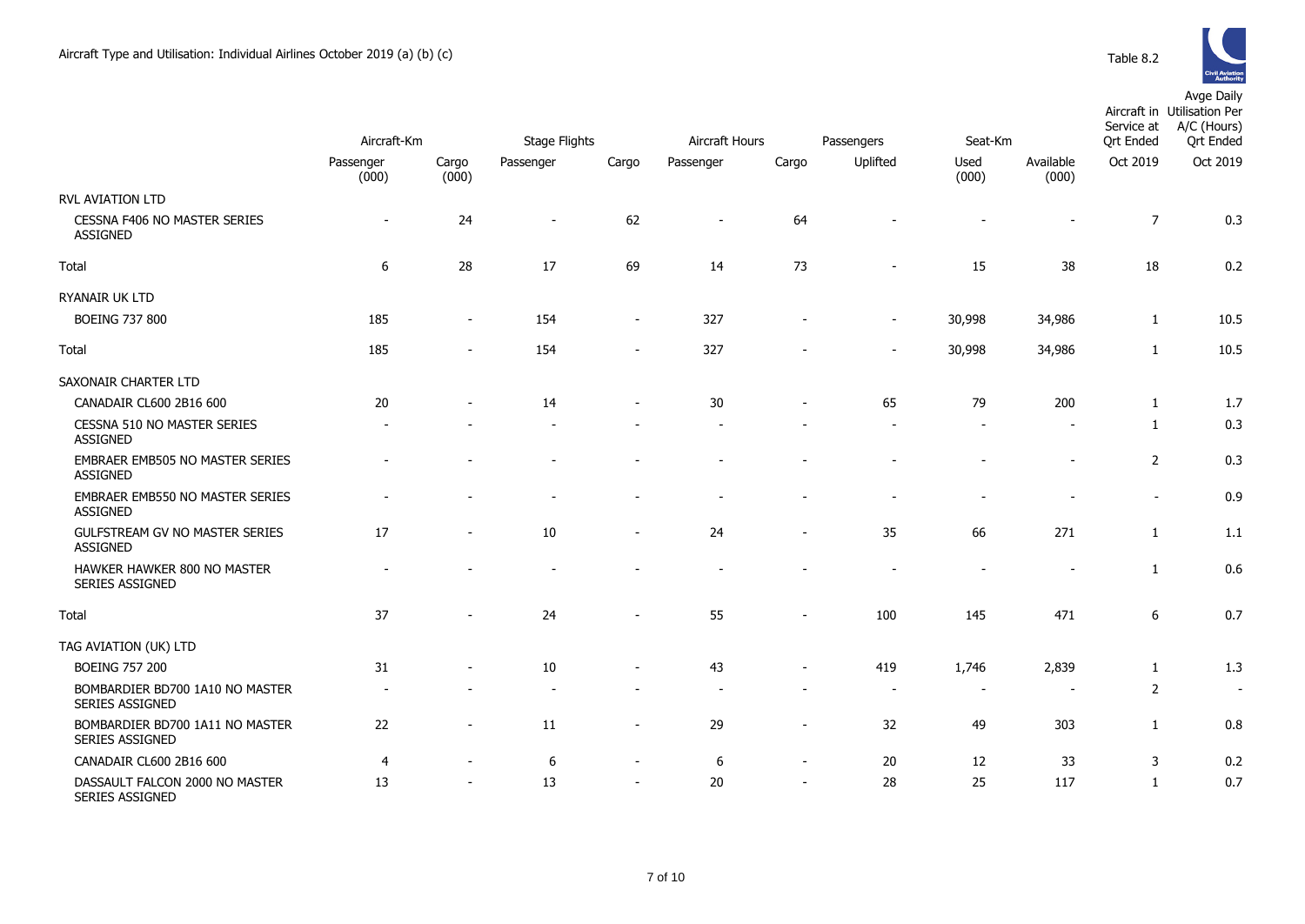

|                                                    | Aircraft-Km        |                | <b>Stage Flights</b><br>Aircraft Hours |                          |           |                          | Passengers               | Seat-Km        |                    | Service at<br><b>Qrt Ended</b> | Aircraft in Utilisation Per<br>A/C (Hours)<br><b>Qrt Ended</b> |
|----------------------------------------------------|--------------------|----------------|----------------------------------------|--------------------------|-----------|--------------------------|--------------------------|----------------|--------------------|--------------------------------|----------------------------------------------------------------|
|                                                    | Passenger<br>(000) | Cargo<br>(000) | Passenger                              | Cargo                    | Passenger | Cargo                    | Uplifted                 | Used<br>(000)  | Available<br>(000) | Oct 2019                       | Oct 2019                                                       |
| <b>RVL AVIATION LTD</b>                            |                    |                |                                        |                          |           |                          |                          |                |                    |                                |                                                                |
| CESSNA F406 NO MASTER SERIES<br><b>ASSIGNED</b>    |                    | 24             | $\overline{\phantom{a}}$               | 62                       |           | 64                       |                          |                |                    | $\overline{7}$                 | 0.3                                                            |
| Total                                              | 6                  | 28             | 17                                     | 69                       | 14        | 73                       |                          | 15             | 38                 | 18                             | 0.2                                                            |
| RYANAIR UK LTD                                     |                    |                |                                        |                          |           |                          |                          |                |                    |                                |                                                                |
| <b>BOEING 737 800</b>                              | 185                | $\sim$         | 154                                    | $\sim$                   | 327       |                          | $\overline{\phantom{a}}$ | 30,998         | 34,986             | $\mathbf{1}$                   | 10.5                                                           |
| Total                                              | 185                |                | 154                                    |                          | 327       |                          | $\blacksquare$           | 30,998         | 34,986             | $\mathbf{1}$                   | 10.5                                                           |
| SAXONAIR CHARTER LTD                               |                    |                |                                        |                          |           |                          |                          |                |                    |                                |                                                                |
| CANADAIR CL600 2B16 600                            | 20                 |                | 14                                     |                          | 30        |                          | 65                       | 79             | 200                | 1                              | 1.7                                                            |
| CESSNA 510 NO MASTER SERIES<br><b>ASSIGNED</b>     |                    |                |                                        |                          |           |                          |                          |                |                    | $\mathbf{1}$                   | 0.3                                                            |
| EMBRAER EMB505 NO MASTER SERIES<br><b>ASSIGNED</b> |                    |                |                                        |                          |           |                          |                          |                | $\overline{a}$     | $\overline{2}$                 | 0.3                                                            |
| EMBRAER EMB550 NO MASTER SERIES<br><b>ASSIGNED</b> |                    |                |                                        |                          |           |                          |                          |                |                    | $\overline{\phantom{a}}$       | 0.9                                                            |
| GULFSTREAM GV NO MASTER SERIES<br><b>ASSIGNED</b>  | 17                 |                | 10                                     |                          | 24        |                          | 35                       | 66             | 271                | $\mathbf{1}$                   | 1.1                                                            |
| HAWKER HAWKER 800 NO MASTER<br>SERIES ASSIGNED     |                    |                |                                        |                          |           |                          |                          |                | $\blacksquare$     | $\mathbf{1}$                   | 0.6                                                            |
| Total                                              | 37                 |                | 24                                     |                          | 55        | $\sim$                   | 100                      | 145            | 471                | $\boldsymbol{6}$               | 0.7                                                            |
| TAG AVIATION (UK) LTD                              |                    |                |                                        |                          |           |                          |                          |                |                    |                                |                                                                |
| <b>BOEING 757 200</b>                              | 31                 |                | 10                                     |                          | 43        |                          | 419                      | 1,746          | 2,839              | $\mathbf{1}$                   | 1.3                                                            |
| BOMBARDIER BD700 1A10 NO MASTER<br>SERIES ASSIGNED |                    |                |                                        |                          |           |                          | $\overline{\phantom{a}}$ | $\blacksquare$ |                    | $\overline{2}$                 | $\sim$                                                         |
| BOMBARDIER BD700 1A11 NO MASTER<br>SERIES ASSIGNED | 22                 |                | 11                                     |                          | 29        | $\overline{\phantom{a}}$ | 32                       | 49             | 303                | $\mathbf{1}$                   | 0.8                                                            |
| CANADAIR CL600 2B16 600                            | $\overline{4}$     |                | 6                                      | $\overline{\phantom{a}}$ | 6         | $\sim$                   | 20                       | 12             | 33                 | 3                              | 0.2                                                            |
| DASSAULT FALCON 2000 NO MASTER<br>SERIES ASSIGNED  | 13                 |                | 13                                     |                          | 20        | $\sim$                   | 28                       | 25             | 117                | $\mathbf{1}$                   | 0.7                                                            |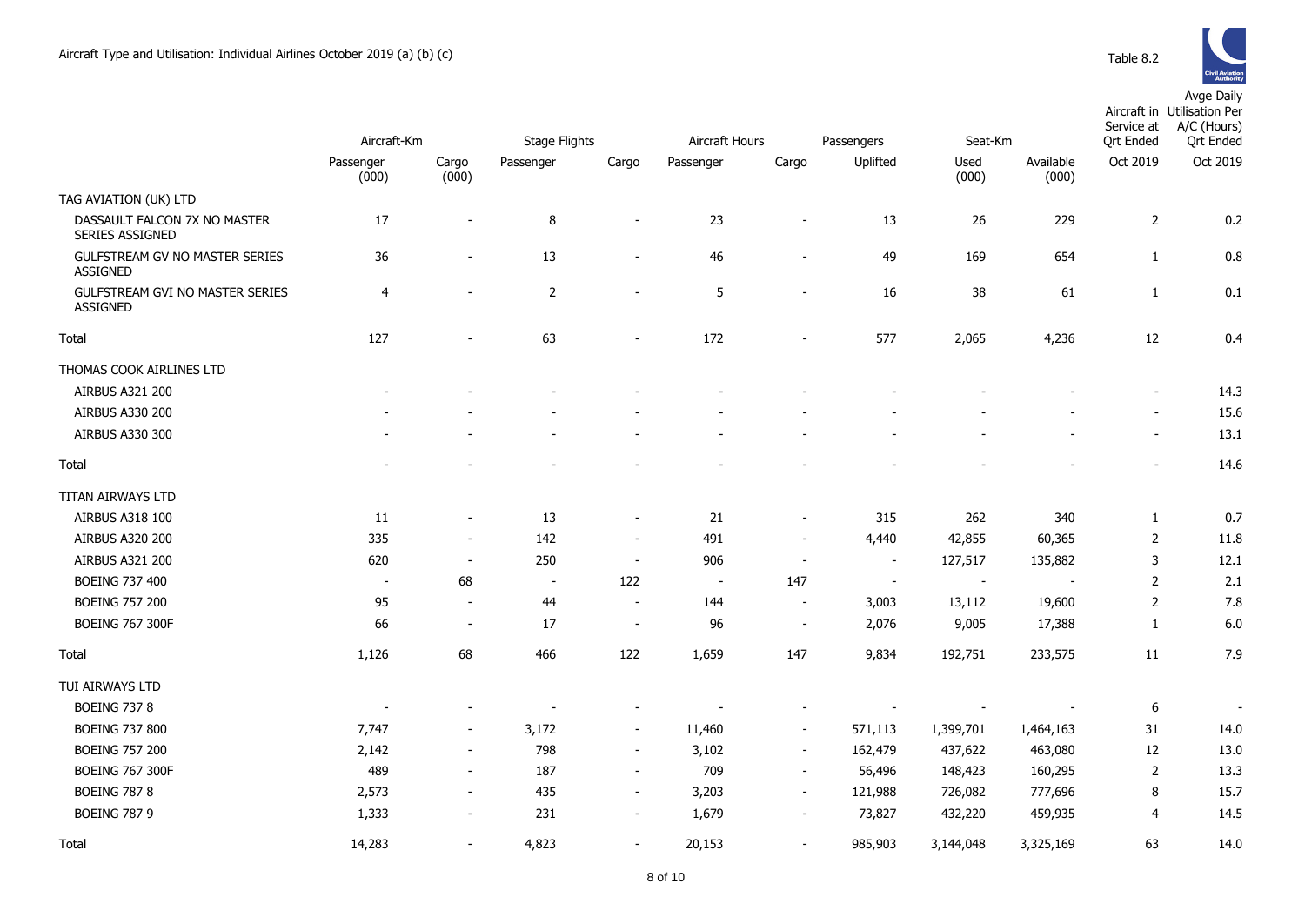

|                                                        | Aircraft-Km              |                          | <b>Stage Flights</b>     |                          | Aircraft Hours<br>Passengers |                          |                | Seat-Km                  |                    | Service at<br><b>Qrt Ended</b> | Aircraft in Utilisation Per<br>A/C (Hours)<br><b>Qrt Ended</b> |  |
|--------------------------------------------------------|--------------------------|--------------------------|--------------------------|--------------------------|------------------------------|--------------------------|----------------|--------------------------|--------------------|--------------------------------|----------------------------------------------------------------|--|
|                                                        | Passenger<br>(000)       | Cargo<br>(000)           | Passenger                | Cargo                    | Passenger                    | Cargo                    | Uplifted       | Used<br>(000)            | Available<br>(000) | Oct 2019                       | Oct 2019                                                       |  |
| TAG AVIATION (UK) LTD                                  |                          |                          |                          |                          |                              |                          |                |                          |                    |                                |                                                                |  |
| DASSAULT FALCON 7X NO MASTER<br><b>SERIES ASSIGNED</b> | 17                       | $\blacksquare$           | 8                        |                          | 23                           |                          | 13             | 26                       | 229                | $\overline{2}$                 | 0.2                                                            |  |
| GULFSTREAM GV NO MASTER SERIES<br>ASSIGNED             | 36                       | $\overline{\phantom{a}}$ | 13                       |                          | 46                           |                          | 49             | 169                      | 654                | $\mathbf{1}$                   | 0.8                                                            |  |
| <b>GULFSTREAM GVI NO MASTER SERIES</b><br>ASSIGNED     | 4                        | $\blacksquare$           | $\overline{2}$           |                          | 5                            | $\overline{\phantom{a}}$ | 16             | 38                       | 61                 | $1\,$                          | 0.1                                                            |  |
| Total                                                  | 127                      | $\overline{\phantom{a}}$ | 63                       |                          | 172                          |                          | 577            | 2,065                    | 4,236              | 12                             | 0.4                                                            |  |
| THOMAS COOK AIRLINES LTD                               |                          |                          |                          |                          |                              |                          |                |                          |                    |                                |                                                                |  |
| <b>AIRBUS A321 200</b>                                 |                          |                          |                          |                          |                              |                          |                |                          |                    | $\blacksquare$                 | 14.3                                                           |  |
| AIRBUS A330 200                                        |                          |                          |                          |                          |                              |                          |                |                          |                    | $\sim$                         | 15.6                                                           |  |
| AIRBUS A330 300                                        |                          |                          |                          |                          |                              |                          |                |                          |                    | $\sim$                         | 13.1                                                           |  |
| Total                                                  |                          |                          |                          |                          |                              |                          |                |                          |                    |                                | 14.6                                                           |  |
| TITAN AIRWAYS LTD                                      |                          |                          |                          |                          |                              |                          |                |                          |                    |                                |                                                                |  |
| AIRBUS A318 100                                        | 11                       | $\overline{\phantom{a}}$ | 13                       | $\sim$                   | 21                           | $\overline{\phantom{a}}$ | 315            | 262                      | 340                | $\mathbf{1}$                   | 0.7                                                            |  |
| <b>AIRBUS A320 200</b>                                 | 335                      | $\overline{\phantom{a}}$ | 142                      | $\sim$                   | 491                          | $\sim$                   | 4,440          | 42,855                   | 60,365             | $\overline{2}$                 | 11.8                                                           |  |
| AIRBUS A321 200                                        | 620                      | $\overline{\phantom{a}}$ | 250                      | $\overline{\phantom{a}}$ | 906                          | $\overline{\phantom{a}}$ | $\blacksquare$ | 127,517                  | 135,882            | 3                              | 12.1                                                           |  |
| BOEING 737 400                                         | $\blacksquare$           | 68                       | $\overline{\phantom{a}}$ | 122                      | $\overline{\phantom{a}}$     | 147                      | $\sim$         | $\sim$                   |                    | $\overline{2}$                 | 2.1                                                            |  |
| <b>BOEING 757 200</b>                                  | 95                       | $\overline{\phantom{a}}$ | 44                       | $\sim$                   | 144                          | $\sim$                   | 3,003          | 13,112                   | 19,600             | $\overline{2}$                 | 7.8                                                            |  |
| <b>BOEING 767 300F</b>                                 | 66                       | $\blacksquare$           | 17                       | $\sim$                   | 96                           | $\blacksquare$           | 2,076          | 9,005                    | 17,388             | $\mathbf{1}$                   | 6.0                                                            |  |
| Total                                                  | 1,126                    | 68                       | 466                      | 122                      | 1,659                        | 147                      | 9,834          | 192,751                  | 233,575            | 11                             | 7.9                                                            |  |
| TUI AIRWAYS LTD                                        |                          |                          |                          |                          |                              |                          |                |                          |                    |                                |                                                                |  |
| <b>BOEING 737 8</b>                                    | $\overline{\phantom{a}}$ |                          |                          |                          |                              |                          |                | $\overline{\phantom{a}}$ |                    | 6                              |                                                                |  |
| <b>BOEING 737 800</b>                                  | 7,747                    | $\sim$                   | 3,172                    | $\sim$                   | 11,460                       | $\sim$                   | 571,113        | 1,399,701                | 1,464,163          | 31                             | 14.0                                                           |  |
| <b>BOEING 757 200</b>                                  | 2,142                    | $\sim$                   | 798                      | $\sim$                   | 3,102                        | $\sim$                   | 162,479        | 437,622                  | 463,080            | 12                             | 13.0                                                           |  |
| <b>BOEING 767 300F</b>                                 | 489                      | $\overline{\phantom{a}}$ | 187                      | $\sim$                   | 709                          | $\sim$                   | 56,496         | 148,423                  | 160,295            | $\overline{2}$                 | 13.3                                                           |  |
| <b>BOEING 787 8</b>                                    | 2,573                    | $\sim$                   | 435                      | $\sim$                   | 3,203                        | $\overline{\phantom{a}}$ | 121,988        | 726,082                  | 777,696            | 8                              | 15.7                                                           |  |
| <b>BOEING 787 9</b>                                    | 1,333                    | $\overline{\phantom{a}}$ | 231                      | $\overline{\phantom{a}}$ | 1,679                        | $\blacksquare$           | 73,827         | 432,220                  | 459,935            | 4                              | 14.5                                                           |  |
| Total                                                  | 14,283                   | $\blacksquare$           | 4,823                    | $\blacksquare$           | 20,153                       | $\overline{\phantom{a}}$ | 985,903        | 3,144,048                | 3,325,169          | 63                             | 14.0                                                           |  |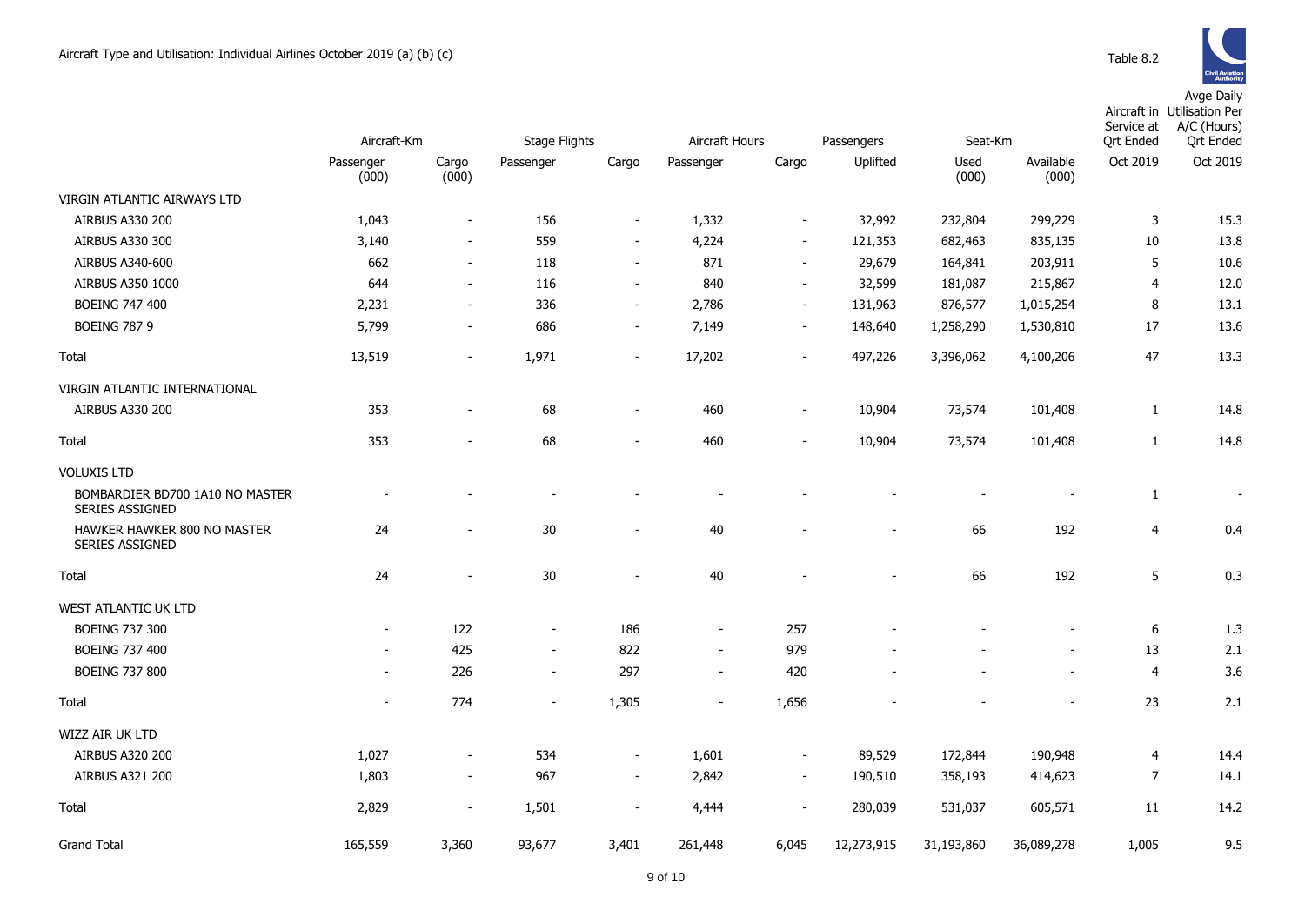|                                                           | Aircraft-Km              |                          | <b>Stage Flights</b>     |                          | <b>Aircraft Hours</b><br>Passengers |                          |                          | Seat-Km       |                    |                | Aircraft in Utilisation Per<br>Service at<br>A/C (Hours)<br><b>Qrt Ended</b> |
|-----------------------------------------------------------|--------------------------|--------------------------|--------------------------|--------------------------|-------------------------------------|--------------------------|--------------------------|---------------|--------------------|----------------|------------------------------------------------------------------------------|
|                                                           | Passenger<br>(000)       | Cargo<br>(000)           | Passenger                | Cargo                    | Passenger                           | Cargo                    | Uplifted                 | Used<br>(000) | Available<br>(000) | Oct 2019       | Oct 2019                                                                     |
| VIRGIN ATLANTIC AIRWAYS LTD                               |                          |                          |                          |                          |                                     |                          |                          |               |                    |                |                                                                              |
| <b>AIRBUS A330 200</b>                                    | 1,043                    | $\blacksquare$           | 156                      | $\blacksquare$           | 1,332                               | $\overline{\phantom{a}}$ | 32,992                   | 232,804       | 299,229            | 3              | 15.3                                                                         |
| AIRBUS A330 300                                           | 3,140                    | $\blacksquare$           | 559                      | $\overline{\phantom{a}}$ | 4,224                               | $\overline{\phantom{a}}$ | 121,353                  | 682,463       | 835,135            | 10             | 13.8                                                                         |
| AIRBUS A340-600                                           | 662                      | $\sim$                   | 118                      | $\overline{\phantom{a}}$ | 871                                 | $\sim$                   | 29,679                   | 164,841       | 203,911            | 5              | 10.6                                                                         |
| <b>AIRBUS A350 1000</b>                                   | 644                      | $\overline{\phantom{a}}$ | 116                      | $\overline{\phantom{a}}$ | 840                                 | $\overline{\phantom{a}}$ | 32,599                   | 181,087       | 215,867            | $\overline{4}$ | 12.0                                                                         |
| <b>BOEING 747 400</b>                                     | 2,231                    | $\overline{\phantom{a}}$ | 336                      | $\sim$                   | 2,786                               | $\sim$                   | 131,963                  | 876,577       | 1,015,254          | 8              | 13.1                                                                         |
| <b>BOEING 787 9</b>                                       | 5,799                    | $\sim$                   | 686                      | $\blacksquare$           | 7,149                               | $\sim$                   | 148,640                  | 1,258,290     | 1,530,810          | 17             | 13.6                                                                         |
| Total                                                     | 13,519                   | $\blacksquare$           | 1,971                    | $\overline{\phantom{a}}$ | 17,202                              | $\sim$                   | 497,226                  | 3,396,062     | 4,100,206          | 47             | 13.3                                                                         |
| VIRGIN ATLANTIC INTERNATIONAL                             |                          |                          |                          |                          |                                     |                          |                          |               |                    |                |                                                                              |
| <b>AIRBUS A330 200</b>                                    | 353                      |                          | 68                       | $\overline{\phantom{a}}$ | 460                                 | $\blacksquare$           | 10,904                   | 73,574        | 101,408            | $\mathbf{1}$   | 14.8                                                                         |
| Total                                                     | 353                      | $\blacksquare$           | 68                       | $\overline{\phantom{a}}$ | 460                                 | $\sim$                   | 10,904                   | 73,574        | 101,408            | $\mathbf{1}$   | 14.8                                                                         |
| <b>VOLUXIS LTD</b>                                        |                          |                          |                          |                          |                                     |                          |                          |               |                    |                |                                                                              |
| BOMBARDIER BD700 1A10 NO MASTER<br><b>SERIES ASSIGNED</b> |                          |                          | $\blacksquare$           |                          |                                     |                          |                          |               |                    | 1              | $\overline{\phantom{a}}$                                                     |
| HAWKER HAWKER 800 NO MASTER<br><b>SERIES ASSIGNED</b>     | 24                       |                          | $30\,$                   | $\overline{a}$           | 40                                  |                          |                          | 66            | 192                | 4              | 0.4                                                                          |
| Total                                                     | 24                       | $\overline{\phantom{a}}$ | 30                       | $\overline{\phantom{a}}$ | 40                                  |                          | $\overline{\phantom{0}}$ | 66            | 192                | 5              | 0.3                                                                          |
| WEST ATLANTIC UK LTD                                      |                          |                          |                          |                          |                                     |                          |                          |               |                    |                |                                                                              |
| <b>BOEING 737 300</b>                                     | $\sim$                   | 122                      | $\overline{\phantom{a}}$ | 186                      | $\overline{\phantom{a}}$            | 257                      |                          |               |                    | 6              | 1.3                                                                          |
| BOEING 737 400                                            | $\blacksquare$           | 425                      | $\sim$                   | 822                      | $\blacksquare$                      | 979                      |                          |               |                    | 13             | 2.1                                                                          |
| <b>BOEING 737 800</b>                                     | $\overline{\phantom{a}}$ | 226                      | $\blacksquare$           | 297                      | $\overline{\phantom{a}}$            | 420                      |                          |               | $\blacksquare$     | $\overline{4}$ | 3.6                                                                          |
| Total                                                     | $\blacksquare$           | 774                      | $\overline{\phantom{a}}$ | 1,305                    | $\blacksquare$                      | 1,656                    |                          |               |                    | 23             | 2.1                                                                          |
| <b>WIZZ AIR UK LTD</b>                                    |                          |                          |                          |                          |                                     |                          |                          |               |                    |                |                                                                              |
| <b>AIRBUS A320 200</b>                                    | 1,027                    | $\overline{\phantom{a}}$ | 534                      | $\blacksquare$           | 1,601                               | $\blacksquare$           | 89,529                   | 172,844       | 190,948            | 4              | 14.4                                                                         |
| <b>AIRBUS A321 200</b>                                    | 1,803                    | $\blacksquare$           | 967                      | $\overline{\phantom{a}}$ | 2,842                               | $\sim$                   | 190,510                  | 358,193       | 414,623            | $\overline{7}$ | 14.1                                                                         |
| Total                                                     | 2,829                    | $\blacksquare$           | 1,501                    | $\overline{\phantom{a}}$ | 4,444                               | $\blacksquare$           | 280,039                  | 531,037       | 605,571            | 11             | 14.2                                                                         |
| <b>Grand Total</b>                                        | 165,559                  | 3,360                    | 93,677                   | 3,401                    | 261,448                             | 6,045                    | 12,273,915               | 31,193,860    | 36,089,278         | 1,005          | 9.5                                                                          |